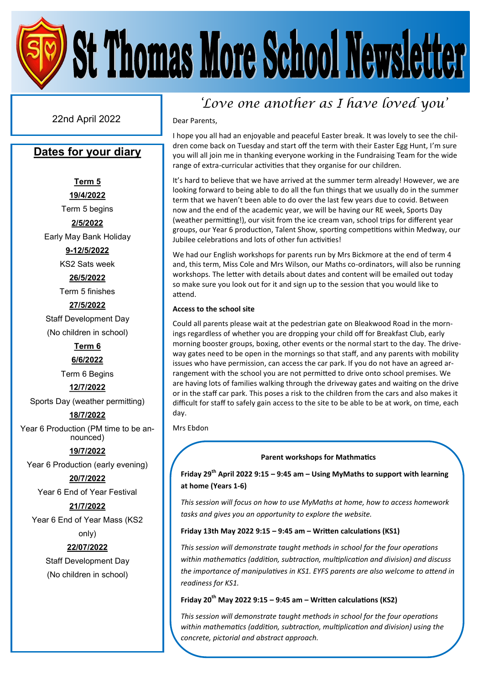22nd April 2022 Dear Parents,

# **Dates for your diary**

**Term 5 19/4/2022** Term 5 begins **2/5/2022**

Early May Bank Holiday

**9-12/5/2022** KS2 Sats week

**26/5/2022**

Term 5 finishes

**27/5/2022**

Staff Development Day (No children in school)

**Term 6**

**6/6/2022**

Term 6 Begins

**12/7/2022**

Sports Day (weather permitting)

**18/7/2022**

Year 6 Production (PM time to be announced)

**19/7/2022**

Year 6 Production (early evening)

**20/7/2022**

Year 6 End of Year Festival

**21/7/2022**

Year 6 End of Year Mass (KS2

only)

# **22/07/2022**

Staff Development Day (No children in school)

# *'Love one another as I have loved you'*

I hope you all had an enjoyable and peaceful Easter break. It was lovely to see the children come back on Tuesday and start off the term with their Easter Egg Hunt, I'm sure you will all join me in thanking everyone working in the Fundraising Team for the wide range of extra-curricular activities that they organise for our children.

It's hard to believe that we have arrived at the summer term already! However, we are looking forward to being able to do all the fun things that we usually do in the summer term that we haven't been able to do over the last few years due to covid. Between now and the end of the academic year, we will be having our RE week, Sports Day (weather permitting!), our visit from the ice cream van, school trips for different year groups, our Year 6 production, Talent Show, sporting competitions within Medway, our Jubilee celebrations and lots of other fun activities!

We had our English workshops for parents run by Mrs Bickmore at the end of term 4 and, this term, Miss Cole and Mrs Wilson, our Maths co-ordinators, will also be running workshops. The letter with details about dates and content will be emailed out today so make sure you look out for it and sign up to the session that you would like to attend.

### **Access to the school site**

Could all parents please wait at the pedestrian gate on Bleakwood Road in the mornings regardless of whether you are dropping your child off for Breakfast Club, early morning booster groups, boxing, other events or the normal start to the day. The driveway gates need to be open in the mornings so that staff, and any parents with mobility issues who have permission, can access the car park. If you do not have an agreed arrangement with the school you are not permitted to drive onto school premises. We are having lots of families walking through the driveway gates and waiting on the drive or in the staff car park. This poses a risk to the children from the cars and also makes it difficult for staff to safely gain access to the site to be able to be at work, on time, each day.

Mrs Ebdon

### **Parent workshops for Mathmatics**

**Friday 29th April 2022 9:15 – 9:45 am – Using MyMaths to support with learning at home (Years 1-6)**

*This session will focus on how to use MyMaths at home, how to access homework tasks and gives you an opportunity to explore the website.* 

### **Friday 13th May 2022 9:15 – 9:45 am – Written calculations (KS1)**

*This session will demonstrate taught methods in school for the four operations within mathematics (addition, subtraction, multiplication and division) and discuss the importance of manipulatives in KS1. EYFS parents are also welcome to attend in readiness for KS1.* 

### **Friday 20th May 2022 9:15 – 9:45 am – Written calculations (KS2)**

*This session will demonstrate taught methods in school for the four operations within mathematics (addition, subtraction, multiplication and division) using the concrete, pictorial and abstract approach.*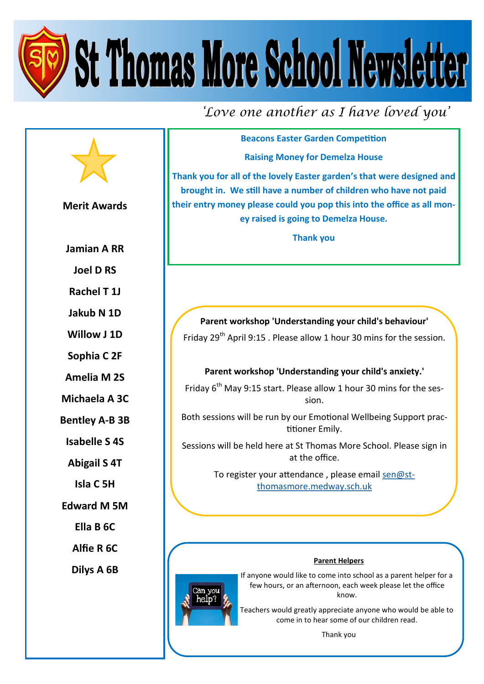*'Love one another as I have loved you'*

**Beacons Easter Garden Competition Raising Money for Demelza House**

**Thank you for all of the lovely Easter garden's that were designed and brought in. We still have a number of children who have not paid their entry money please could you pop this into the office as all money raised is going to Demelza House.**

**Thank you**

**Parent workshop 'Understanding your child's behaviour'** Friday 29th April 9:15 . Please allow 1 hour 30 mins for the session.

# **Parent workshop 'Understanding your child's anxiety.'**

Friday  $6<sup>th</sup>$  May 9:15 start. Please allow 1 hour 30 mins for the session.

Both sessions will be run by our Emotional Wellbeing Support practitioner Emily.

Sessions will be held here at St Thomas More School. Please sign in at the office.

> To register your attendance, please email [sen@st](mailto:sen@st-thomasmore.medway.sch.uk)[thomasmore.medway.sch.uk](mailto:sen@st-thomasmore.medway.sch.uk)

### **Parent Helpers**

If anyone would like to come into school as a parent helper for a few hours, or an afternoon, each week please let the office know.

Teachers would greatly appreciate anyone who would be able to come in to hear some of our children read.

Thank you

**Merit Awards Jamian A RR Joel D RS Rachel T 1J Jakub N 1D Willow J 1D Sophia C 2F Amelia M 2S Isabelle S 4S Abigail S 4T Isla C 5H Ella B 6C Alfie R 6C Dilys A 6B**

**Michaela A 3C**

**Bentley A-B 3B**

**Edward M 5M**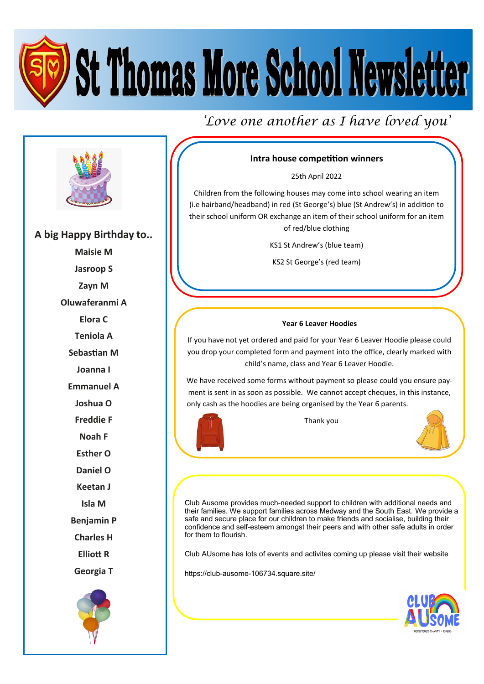*'Love one another as I have loved you'*



**A big Happy Birthday to..**

**Maisie M Jasroop S Zayn M**

**Oluwaferanmi A**

**Elora C**

**Teniola A**

**Sebastian M**

**Joanna I**

**Emmanuel A**

**Joshua O**

**Freddie F**

**Noah F**

**Esther O**

**Daniel O**

**Keetan J**

**Isla M**

**Benjamin P**

**Charles H**

**Elliott R**

**Georgia T**



# **Intra house competition winners**

25th April 2022

Children from the following houses may come into school wearing an item (i.e hairband/headband) in red (St George's) blue (St Andrew's) in addition to their school uniform OR exchange an item of their school uniform for an item of red/blue clothing

KS1 St Andrew's (blue team)

KS2 St George's (red team)

### **Year 6 Leaver Hoodies**

If you have not yet ordered and paid for your Year 6 Leaver Hoodie please could you drop your completed form and payment into the office, clearly marked with child's name, class and Year 6 Leaver Hoodie.

We have received some forms without payment so please could you ensure payment is sent in as soon as possible. We cannot accept cheques, in this instance, only cash as the hoodies are being organised by the Year 6 parents.

Thank you



Club Ausome provides much-needed support to children with additional needs and their families. We support families across Medway and the South East. We provide a safe and secure place for our children to make friends and socialise, building their confidence and self-esteem amongst their peers and with other safe adults in order for them to flourish.

Club AUsome has lots of events and activites coming up please visit their website

https://club-ausome-106734.square.site/